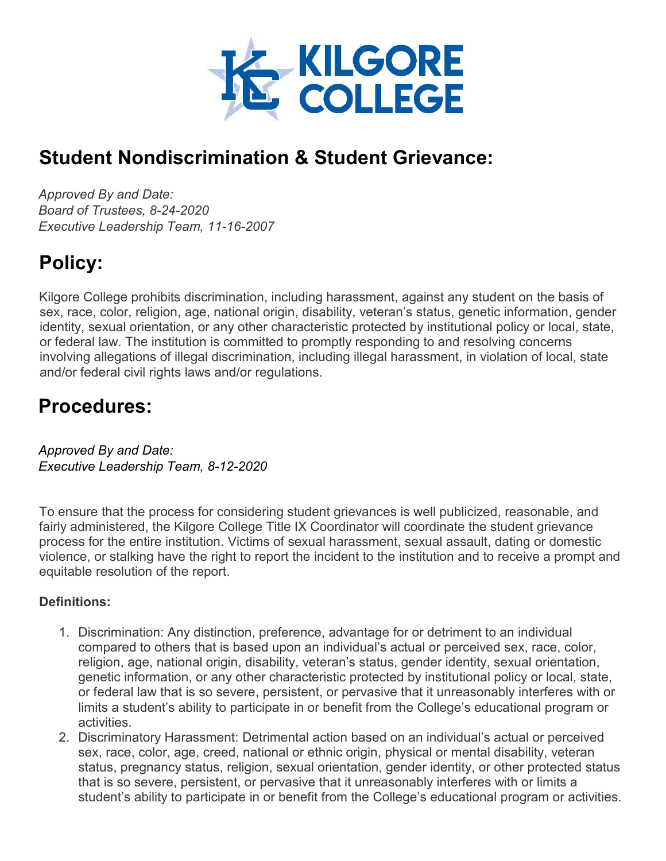

## **Student Nondiscrimination & Student Grievance:**

*Approved By and Date: Board of Trustees, 8-24-2020 Executive Leadership Team, 11-16-2007*

# **Policy:**

Kilgore College prohibits discrimination, including harassment, against any student on the basis of sex, race, color, religion, age, national origin, disability, veteran's status, genetic information, gender identity, sexual orientation, or any other characteristic protected by institutional policy or local, state, or federal law. The institution is committed to promptly responding to and resolving concerns involving allegations of illegal discrimination, including illegal harassment, in violation of local, state and/or federal civil rights laws and/or regulations.

## **Procedures:**

*Approved By and Date: Executive Leadership Team, 8-12-2020*

To ensure that the process for considering student grievances is well publicized, reasonable, and fairly administered, the Kilgore College Title IX Coordinator will coordinate the student grievance process for the entire institution. Victims of sexual harassment, sexual assault, dating or domestic violence, or stalking have the right to report the incident to the institution and to receive a prompt and equitable resolution of the report.

## **Definitions:**

- 1. Discrimination: Any distinction, preference, advantage for or detriment to an individual compared to others that is based upon an individual's actual or perceived sex, race, color, religion, age, national origin, disability, veteran's status, gender identity, sexual orientation, genetic information, or any other characteristic protected by institutional policy or local, state, or federal law that is so severe, persistent, or pervasive that it unreasonably interferes with or limits a student's ability to participate in or benefit from the College's educational program or activities.
- 2. Discriminatory Harassment: Detrimental action based on an individual's actual or perceived sex, race, color, age, creed, national or ethnic origin, physical or mental disability, veteran status, pregnancy status, religion, sexual orientation, gender identity, or other protected status that is so severe, persistent, or pervasive that it unreasonably interferes with or limits a student's ability to participate in or benefit from the College's educational program or activities.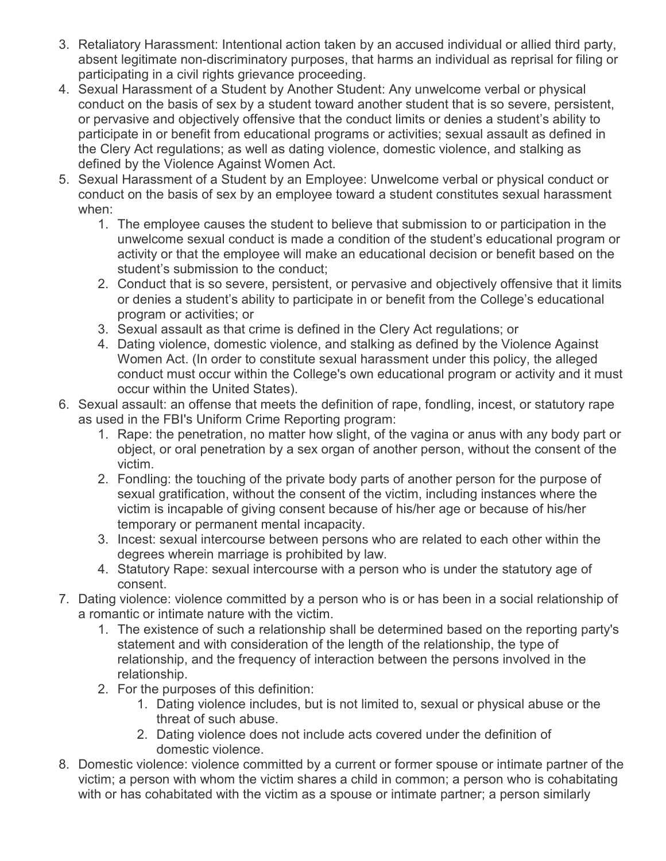- 3. Retaliatory Harassment: Intentional action taken by an accused individual or allied third party, absent legitimate non-discriminatory purposes, that harms an individual as reprisal for filing or participating in a civil rights grievance proceeding.
- 4. Sexual Harassment of a Student by Another Student: Any unwelcome verbal or physical conduct on the basis of sex by a student toward another student that is so severe, persistent, or pervasive and objectively offensive that the conduct limits or denies a student's ability to participate in or benefit from educational programs or activities; sexual assault as defined in the Clery Act regulations; as well as dating violence, domestic violence, and stalking as defined by the Violence Against Women Act.
- 5. Sexual Harassment of a Student by an Employee: Unwelcome verbal or physical conduct or conduct on the basis of sex by an employee toward a student constitutes sexual harassment when:
	- 1. The employee causes the student to believe that submission to or participation in the unwelcome sexual conduct is made a condition of the student's educational program or activity or that the employee will make an educational decision or benefit based on the student's submission to the conduct;
	- 2. Conduct that is so severe, persistent, or pervasive and objectively offensive that it limits or denies a student's ability to participate in or benefit from the College's educational program or activities; or
	- 3. Sexual assault as that crime is defined in the Clery Act regulations; or
	- 4. Dating violence, domestic violence, and stalking as defined by the Violence Against Women Act. (In order to constitute sexual harassment under this policy, the alleged conduct must occur within the College's own educational program or activity and it must occur within the United States).
- 6. Sexual assault: an offense that meets the definition of rape, fondling, incest, or statutory rape as used in the FBI's Uniform Crime Reporting program:
	- 1. Rape: the penetration, no matter how slight, of the vagina or anus with any body part or object, or oral penetration by a sex organ of another person, without the consent of the victim.
	- 2. Fondling: the touching of the private body parts of another person for the purpose of sexual gratification, without the consent of the victim, including instances where the victim is incapable of giving consent because of his/her age or because of his/her temporary or permanent mental incapacity.
	- 3. Incest: sexual intercourse between persons who are related to each other within the degrees wherein marriage is prohibited by law.
	- 4. Statutory Rape: sexual intercourse with a person who is under the statutory age of consent.
- 7. Dating violence: violence committed by a person who is or has been in a social relationship of a romantic or intimate nature with the victim.
	- 1. The existence of such a relationship shall be determined based on the reporting party's statement and with consideration of the length of the relationship, the type of relationship, and the frequency of interaction between the persons involved in the relationship.
	- 2. For the purposes of this definition:
		- 1. Dating violence includes, but is not limited to, sexual or physical abuse or the threat of such abuse.
		- 2. Dating violence does not include acts covered under the definition of domestic violence.
- 8. Domestic violence: violence committed by a current or former spouse or intimate partner of the victim; a person with whom the victim shares a child in common; a person who is cohabitating with or has cohabitated with the victim as a spouse or intimate partner; a person similarly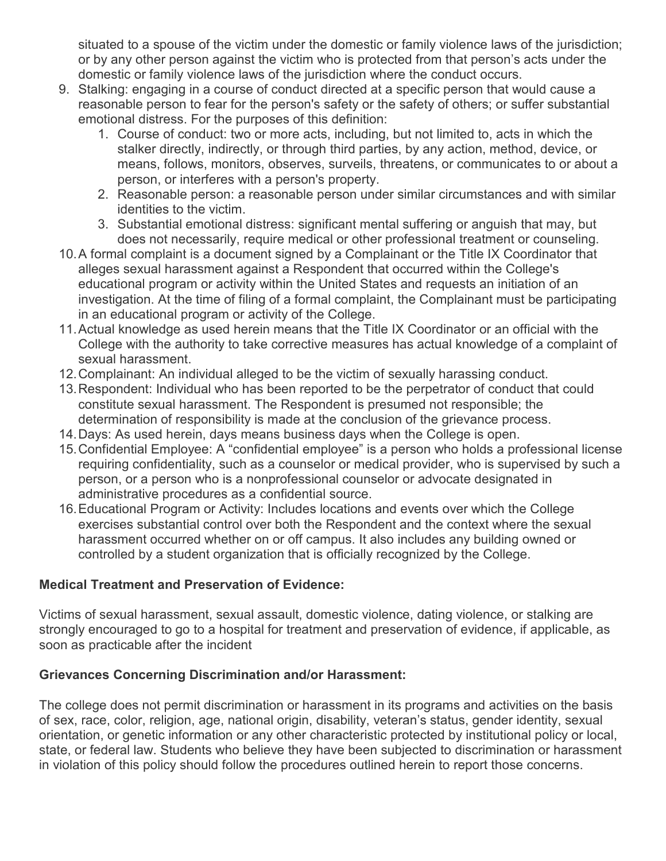situated to a spouse of the victim under the domestic or family violence laws of the jurisdiction; or by any other person against the victim who is protected from that person's acts under the domestic or family violence laws of the jurisdiction where the conduct occurs.

- 9. Stalking: engaging in a course of conduct directed at a specific person that would cause a reasonable person to fear for the person's safety or the safety of others; or suffer substantial emotional distress. For the purposes of this definition:
	- 1. Course of conduct: two or more acts, including, but not limited to, acts in which the stalker directly, indirectly, or through third parties, by any action, method, device, or means, follows, monitors, observes, surveils, threatens, or communicates to or about a person, or interferes with a person's property.
	- 2. Reasonable person: a reasonable person under similar circumstances and with similar identities to the victim.
	- 3. Substantial emotional distress: significant mental suffering or anguish that may, but does not necessarily, require medical or other professional treatment or counseling.
- 10.A formal complaint is a document signed by a Complainant or the Title IX Coordinator that alleges sexual harassment against a Respondent that occurred within the College's educational program or activity within the United States and requests an initiation of an investigation. At the time of filing of a formal complaint, the Complainant must be participating in an educational program or activity of the College.
- 11.Actual knowledge as used herein means that the Title IX Coordinator or an official with the College with the authority to take corrective measures has actual knowledge of a complaint of sexual harassment.
- 12.Complainant: An individual alleged to be the victim of sexually harassing conduct.
- 13.Respondent: Individual who has been reported to be the perpetrator of conduct that could constitute sexual harassment. The Respondent is presumed not responsible; the determination of responsibility is made at the conclusion of the grievance process.
- 14.Days: As used herein, days means business days when the College is open.
- 15.Confidential Employee: A "confidential employee" is a person who holds a professional license requiring confidentiality, such as a counselor or medical provider, who is supervised by such a person, or a person who is a nonprofessional counselor or advocate designated in administrative procedures as a confidential source.
- 16.Educational Program or Activity: Includes locations and events over which the College exercises substantial control over both the Respondent and the context where the sexual harassment occurred whether on or off campus. It also includes any building owned or controlled by a student organization that is officially recognized by the College.

## **Medical Treatment and Preservation of Evidence:**

Victims of sexual harassment, sexual assault, domestic violence, dating violence, or stalking are strongly encouraged to go to a hospital for treatment and preservation of evidence, if applicable, as soon as practicable after the incident

## **Grievances Concerning Discrimination and/or Harassment:**

The college does not permit discrimination or harassment in its programs and activities on the basis of sex, race, color, religion, age, national origin, disability, veteran's status, gender identity, sexual orientation, or genetic information or any other characteristic protected by institutional policy or local, state, or federal law. Students who believe they have been subjected to discrimination or harassment in violation of this policy should follow the procedures outlined herein to report those concerns.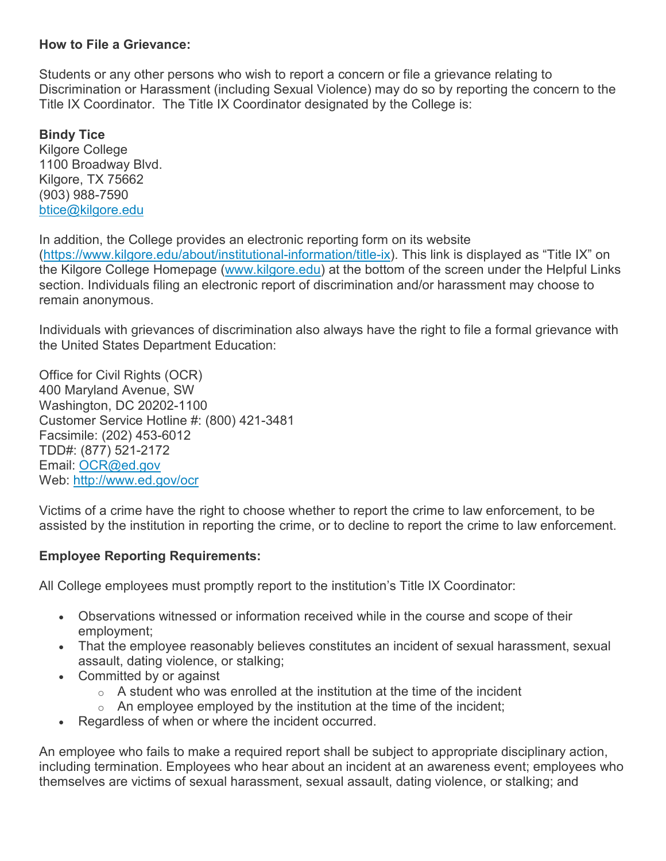## **How to File a Grievance:**

Students or any other persons who wish to report a concern or file a grievance relating to Discrimination or Harassment (including Sexual Violence) may do so by reporting the concern to the Title IX Coordinator. The Title IX Coordinator designated by the College is:

**Bindy Tice** Kilgore College 1100 Broadway Blvd. Kilgore, TX 75662 (903) 988-7590 [btice@kilgore.edu](mailto:btice@kilgore.edu)

In addition, the College provides an electronic reporting form on its website [\(https://www.kilgore.edu/about/institutional-information/title-ix\)](https://www.kilgore.edu/about/institutional-information/title-ix). This link is displayed as "Title IX" on the Kilgore College Homepage [\(www.kilgore.edu\)](http://www.kilgore.edu/) at the bottom of the screen under the Helpful Links section. Individuals filing an electronic report of discrimination and/or harassment may choose to remain anonymous.

Individuals with grievances of discrimination also always have the right to file a formal grievance with the United States Department Education:

Office for Civil Rights (OCR) 400 Maryland Avenue, SW Washington, DC 20202-1100 Customer Service Hotline #: (800) 421-3481 Facsimile: (202) 453-6012 TDD#: (877) 521-2172 Email: [OCR@ed.gov](mailto:OCR@ed.gov) Web: <http://www.ed.gov/ocr>

Victims of a crime have the right to choose whether to report the crime to law enforcement, to be assisted by the institution in reporting the crime, or to decline to report the crime to law enforcement.

## **Employee Reporting Requirements:**

All College employees must promptly report to the institution's Title IX Coordinator:

- Observations witnessed or information received while in the course and scope of their employment;
- That the employee reasonably believes constitutes an incident of sexual harassment, sexual assault, dating violence, or stalking;
- Committed by or against
	- $\circ$  A student who was enrolled at the institution at the time of the incident
	- $\circ$  An employee employed by the institution at the time of the incident;
- Regardless of when or where the incident occurred.

An employee who fails to make a required report shall be subject to appropriate disciplinary action, including termination. Employees who hear about an incident at an awareness event; employees who themselves are victims of sexual harassment, sexual assault, dating violence, or stalking; and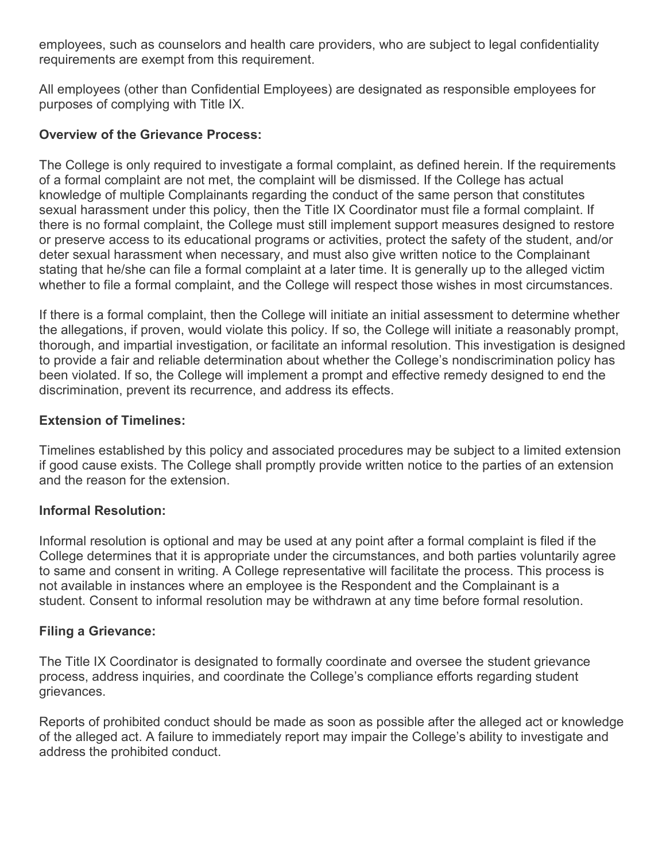employees, such as counselors and health care providers, who are subject to legal confidentiality requirements are exempt from this requirement.

All employees (other than Confidential Employees) are designated as responsible employees for purposes of complying with Title IX.

### **Overview of the Grievance Process:**

The College is only required to investigate a formal complaint, as defined herein. If the requirements of a formal complaint are not met, the complaint will be dismissed. If the College has actual knowledge of multiple Complainants regarding the conduct of the same person that constitutes sexual harassment under this policy, then the Title IX Coordinator must file a formal complaint. If there is no formal complaint, the College must still implement support measures designed to restore or preserve access to its educational programs or activities, protect the safety of the student, and/or deter sexual harassment when necessary, and must also give written notice to the Complainant stating that he/she can file a formal complaint at a later time. It is generally up to the alleged victim whether to file a formal complaint, and the College will respect those wishes in most circumstances.

If there is a formal complaint, then the College will initiate an initial assessment to determine whether the allegations, if proven, would violate this policy. If so, the College will initiate a reasonably prompt, thorough, and impartial investigation, or facilitate an informal resolution. This investigation is designed to provide a fair and reliable determination about whether the College's nondiscrimination policy has been violated. If so, the College will implement a prompt and effective remedy designed to end the discrimination, prevent its recurrence, and address its effects.

### **Extension of Timelines:**

Timelines established by this policy and associated procedures may be subject to a limited extension if good cause exists. The College shall promptly provide written notice to the parties of an extension and the reason for the extension.

#### **Informal Resolution:**

Informal resolution is optional and may be used at any point after a formal complaint is filed if the College determines that it is appropriate under the circumstances, and both parties voluntarily agree to same and consent in writing. A College representative will facilitate the process. This process is not available in instances where an employee is the Respondent and the Complainant is a student. Consent to informal resolution may be withdrawn at any time before formal resolution.

#### **Filing a Grievance:**

The Title IX Coordinator is designated to formally coordinate and oversee the student grievance process, address inquiries, and coordinate the College's compliance efforts regarding student grievances.

Reports of prohibited conduct should be made as soon as possible after the alleged act or knowledge of the alleged act. A failure to immediately report may impair the College's ability to investigate and address the prohibited conduct.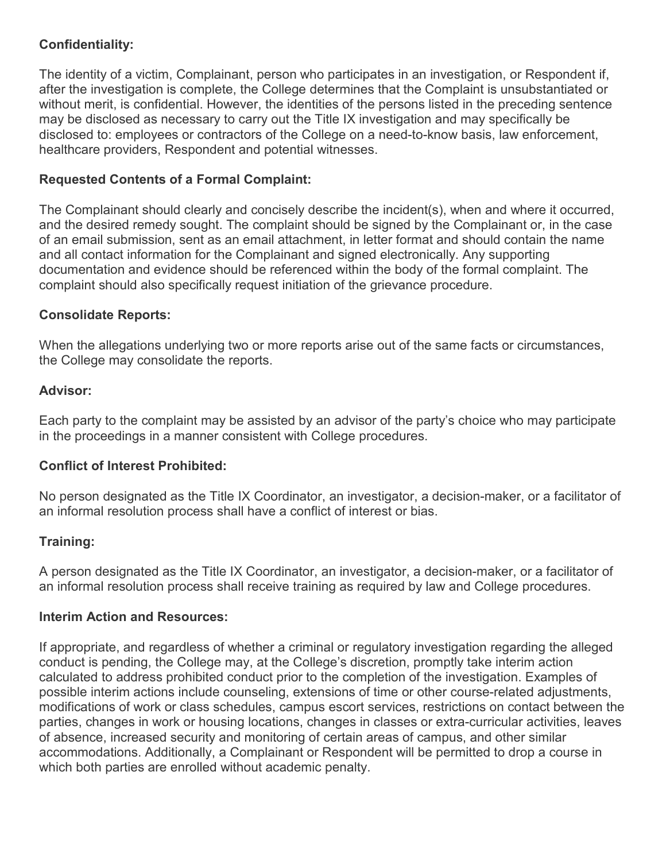## **Confidentiality:**

The identity of a victim, Complainant, person who participates in an investigation, or Respondent if, after the investigation is complete, the College determines that the Complaint is unsubstantiated or without merit, is confidential. However, the identities of the persons listed in the preceding sentence may be disclosed as necessary to carry out the Title IX investigation and may specifically be disclosed to: employees or contractors of the College on a need-to-know basis, law enforcement, healthcare providers, Respondent and potential witnesses.

## **Requested Contents of a Formal Complaint:**

The Complainant should clearly and concisely describe the incident(s), when and where it occurred, and the desired remedy sought. The complaint should be signed by the Complainant or, in the case of an email submission, sent as an email attachment, in letter format and should contain the name and all contact information for the Complainant and signed electronically. Any supporting documentation and evidence should be referenced within the body of the formal complaint. The complaint should also specifically request initiation of the grievance procedure.

### **Consolidate Reports:**

When the allegations underlying two or more reports arise out of the same facts or circumstances, the College may consolidate the reports.

### **Advisor:**

Each party to the complaint may be assisted by an advisor of the party's choice who may participate in the proceedings in a manner consistent with College procedures.

## **Conflict of Interest Prohibited:**

No person designated as the Title IX Coordinator, an investigator, a decision-maker, or a facilitator of an informal resolution process shall have a conflict of interest or bias.

## **Training:**

A person designated as the Title IX Coordinator, an investigator, a decision-maker, or a facilitator of an informal resolution process shall receive training as required by law and College procedures.

#### **Interim Action and Resources:**

If appropriate, and regardless of whether a criminal or regulatory investigation regarding the alleged conduct is pending, the College may, at the College's discretion, promptly take interim action calculated to address prohibited conduct prior to the completion of the investigation. Examples of possible interim actions include counseling, extensions of time or other course-related adjustments, modifications of work or class schedules, campus escort services, restrictions on contact between the parties, changes in work or housing locations, changes in classes or extra-curricular activities, leaves of absence, increased security and monitoring of certain areas of campus, and other similar accommodations. Additionally, a Complainant or Respondent will be permitted to drop a course in which both parties are enrolled without academic penalty.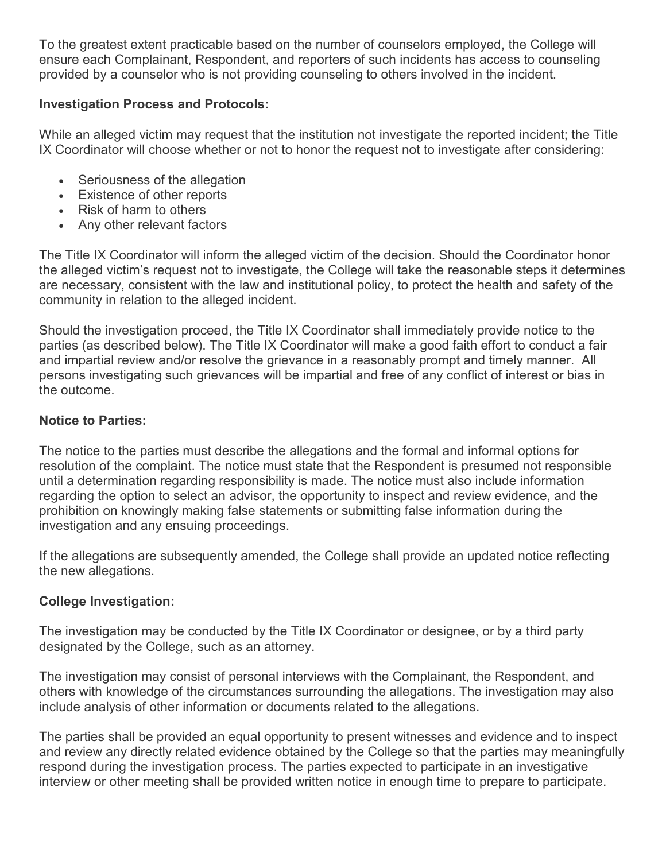To the greatest extent practicable based on the number of counselors employed, the College will ensure each Complainant, Respondent, and reporters of such incidents has access to counseling provided by a counselor who is not providing counseling to others involved in the incident.

## **Investigation Process and Protocols:**

While an alleged victim may request that the institution not investigate the reported incident; the Title IX Coordinator will choose whether or not to honor the request not to investigate after considering:

- Seriousness of the allegation
- Existence of other reports
- Risk of harm to others
- Any other relevant factors

The Title IX Coordinator will inform the alleged victim of the decision. Should the Coordinator honor the alleged victim's request not to investigate, the College will take the reasonable steps it determines are necessary, consistent with the law and institutional policy, to protect the health and safety of the community in relation to the alleged incident.

Should the investigation proceed, the Title IX Coordinator shall immediately provide notice to the parties (as described below). The Title IX Coordinator will make a good faith effort to conduct a fair and impartial review and/or resolve the grievance in a reasonably prompt and timely manner. All persons investigating such grievances will be impartial and free of any conflict of interest or bias in the outcome.

## **Notice to Parties:**

The notice to the parties must describe the allegations and the formal and informal options for resolution of the complaint. The notice must state that the Respondent is presumed not responsible until a determination regarding responsibility is made. The notice must also include information regarding the option to select an advisor, the opportunity to inspect and review evidence, and the prohibition on knowingly making false statements or submitting false information during the investigation and any ensuing proceedings.

If the allegations are subsequently amended, the College shall provide an updated notice reflecting the new allegations.

## **College Investigation:**

The investigation may be conducted by the Title IX Coordinator or designee, or by a third party designated by the College, such as an attorney.

The investigation may consist of personal interviews with the Complainant, the Respondent, and others with knowledge of the circumstances surrounding the allegations. The investigation may also include analysis of other information or documents related to the allegations.

The parties shall be provided an equal opportunity to present witnesses and evidence and to inspect and review any directly related evidence obtained by the College so that the parties may meaningfully respond during the investigation process. The parties expected to participate in an investigative interview or other meeting shall be provided written notice in enough time to prepare to participate.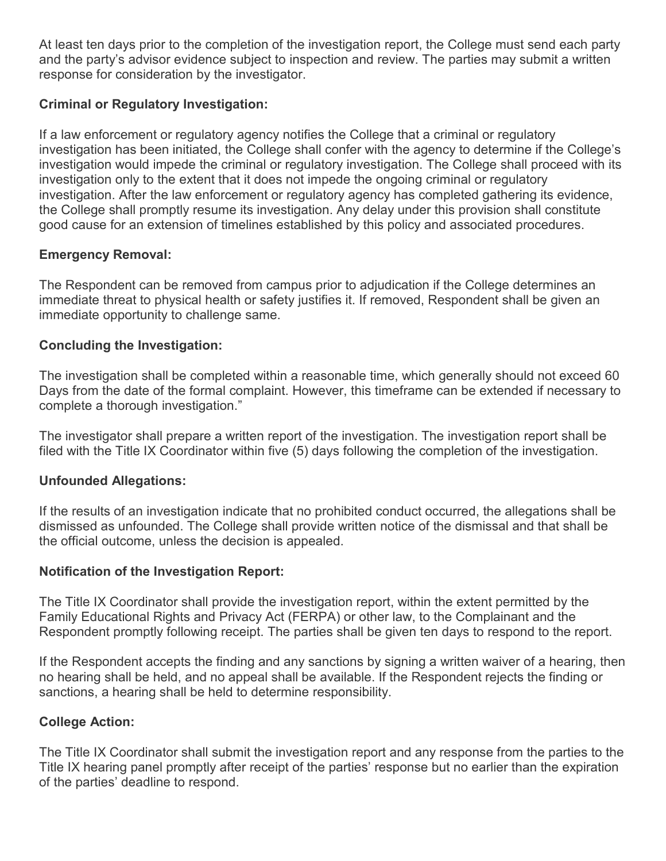At least ten days prior to the completion of the investigation report, the College must send each party and the party's advisor evidence subject to inspection and review. The parties may submit a written response for consideration by the investigator.

## **Criminal or Regulatory Investigation:**

If a law enforcement or regulatory agency notifies the College that a criminal or regulatory investigation has been initiated, the College shall confer with the agency to determine if the College's investigation would impede the criminal or regulatory investigation. The College shall proceed with its investigation only to the extent that it does not impede the ongoing criminal or regulatory investigation. After the law enforcement or regulatory agency has completed gathering its evidence, the College shall promptly resume its investigation. Any delay under this provision shall constitute good cause for an extension of timelines established by this policy and associated procedures.

## **Emergency Removal:**

The Respondent can be removed from campus prior to adjudication if the College determines an immediate threat to physical health or safety justifies it. If removed, Respondent shall be given an immediate opportunity to challenge same.

## **Concluding the Investigation:**

The investigation shall be completed within a reasonable time, which generally should not exceed 60 Days from the date of the formal complaint. However, this timeframe can be extended if necessary to complete a thorough investigation."

The investigator shall prepare a written report of the investigation. The investigation report shall be filed with the Title IX Coordinator within five (5) days following the completion of the investigation.

## **Unfounded Allegations:**

If the results of an investigation indicate that no prohibited conduct occurred, the allegations shall be dismissed as unfounded. The College shall provide written notice of the dismissal and that shall be the official outcome, unless the decision is appealed.

## **Notification of the Investigation Report:**

The Title IX Coordinator shall provide the investigation report, within the extent permitted by the Family Educational Rights and Privacy Act (FERPA) or other law, to the Complainant and the Respondent promptly following receipt. The parties shall be given ten days to respond to the report.

If the Respondent accepts the finding and any sanctions by signing a written waiver of a hearing, then no hearing shall be held, and no appeal shall be available. If the Respondent rejects the finding or sanctions, a hearing shall be held to determine responsibility.

## **College Action:**

The Title IX Coordinator shall submit the investigation report and any response from the parties to the Title IX hearing panel promptly after receipt of the parties' response but no earlier than the expiration of the parties' deadline to respond.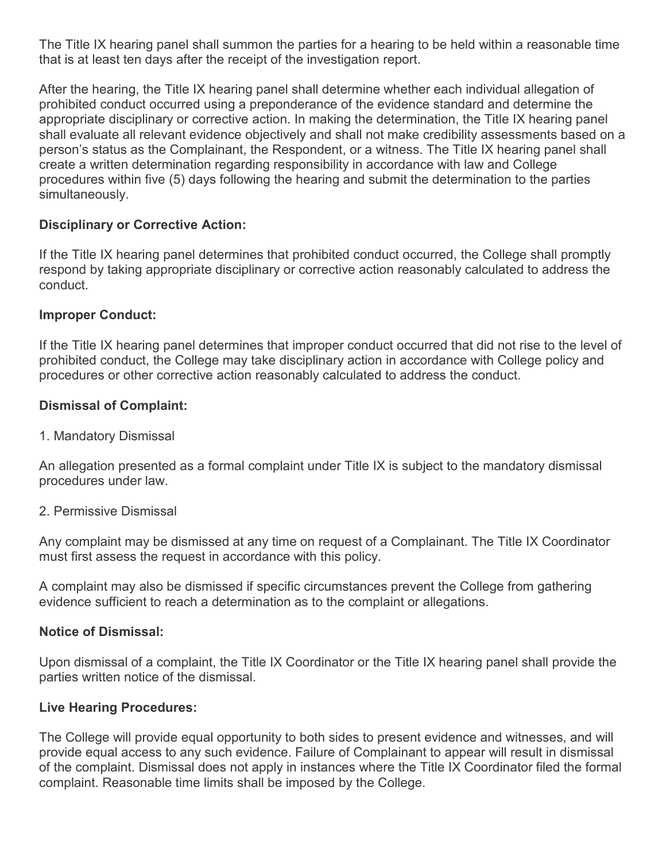The Title IX hearing panel shall summon the parties for a hearing to be held within a reasonable time that is at least ten days after the receipt of the investigation report.

After the hearing, the Title IX hearing panel shall determine whether each individual allegation of prohibited conduct occurred using a preponderance of the evidence standard and determine the appropriate disciplinary or corrective action. In making the determination, the Title IX hearing panel shall evaluate all relevant evidence objectively and shall not make credibility assessments based on a person's status as the Complainant, the Respondent, or a witness. The Title IX hearing panel shall create a written determination regarding responsibility in accordance with law and College procedures within five (5) days following the hearing and submit the determination to the parties simultaneously.

### **Disciplinary or Corrective Action:**

If the Title IX hearing panel determines that prohibited conduct occurred, the College shall promptly respond by taking appropriate disciplinary or corrective action reasonably calculated to address the conduct.

#### **Improper Conduct:**

If the Title IX hearing panel determines that improper conduct occurred that did not rise to the level of prohibited conduct, the College may take disciplinary action in accordance with College policy and procedures or other corrective action reasonably calculated to address the conduct.

### **Dismissal of Complaint:**

1. Mandatory Dismissal

An allegation presented as a formal complaint under Title IX is subject to the mandatory dismissal procedures under law.

#### 2. Permissive Dismissal

Any complaint may be dismissed at any time on request of a Complainant. The Title IX Coordinator must first assess the request in accordance with this policy.

A complaint may also be dismissed if specific circumstances prevent the College from gathering evidence sufficient to reach a determination as to the complaint or allegations.

#### **Notice of Dismissal:**

Upon dismissal of a complaint, the Title IX Coordinator or the Title IX hearing panel shall provide the parties written notice of the dismissal.

#### **Live Hearing Procedures:**

The College will provide equal opportunity to both sides to present evidence and witnesses, and will provide equal access to any such evidence. Failure of Complainant to appear will result in dismissal of the complaint. Dismissal does not apply in instances where the Title IX Coordinator filed the formal complaint. Reasonable time limits shall be imposed by the College.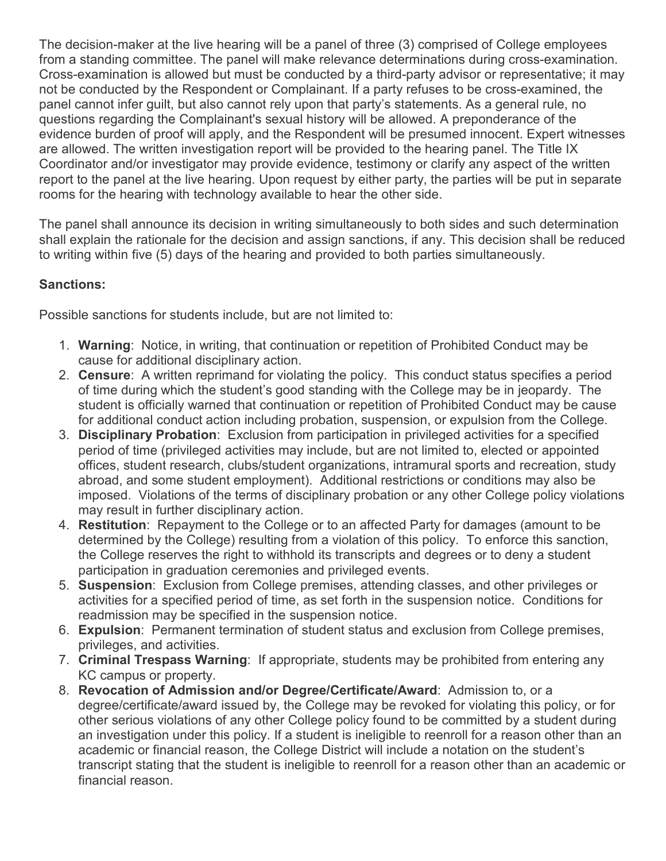The decision-maker at the live hearing will be a panel of three (3) comprised of College employees from a standing committee. The panel will make relevance determinations during cross-examination. Cross-examination is allowed but must be conducted by a third-party advisor or representative; it may not be conducted by the Respondent or Complainant. If a party refuses to be cross-examined, the panel cannot infer guilt, but also cannot rely upon that party's statements. As a general rule, no questions regarding the Complainant's sexual history will be allowed. A preponderance of the evidence burden of proof will apply, and the Respondent will be presumed innocent. Expert witnesses are allowed. The written investigation report will be provided to the hearing panel. The Title IX Coordinator and/or investigator may provide evidence, testimony or clarify any aspect of the written report to the panel at the live hearing. Upon request by either party, the parties will be put in separate rooms for the hearing with technology available to hear the other side.

The panel shall announce its decision in writing simultaneously to both sides and such determination shall explain the rationale for the decision and assign sanctions, if any. This decision shall be reduced to writing within five (5) days of the hearing and provided to both parties simultaneously.

## **Sanctions:**

Possible sanctions for students include, but are not limited to:

- 1. **Warning**: Notice, in writing, that continuation or repetition of Prohibited Conduct may be cause for additional disciplinary action.
- 2. **Censure**: A written reprimand for violating the policy. This conduct status specifies a period of time during which the student's good standing with the College may be in jeopardy. The student is officially warned that continuation or repetition of Prohibited Conduct may be cause for additional conduct action including probation, suspension, or expulsion from the College.
- 3. **Disciplinary Probation**: Exclusion from participation in privileged activities for a specified period of time (privileged activities may include, but are not limited to, elected or appointed offices, student research, clubs/student organizations, intramural sports and recreation, study abroad, and some student employment). Additional restrictions or conditions may also be imposed. Violations of the terms of disciplinary probation or any other College policy violations may result in further disciplinary action.
- 4. **Restitution**: Repayment to the College or to an affected Party for damages (amount to be determined by the College) resulting from a violation of this policy. To enforce this sanction, the College reserves the right to withhold its transcripts and degrees or to deny a student participation in graduation ceremonies and privileged events.
- 5. **Suspension**: Exclusion from College premises, attending classes, and other privileges or activities for a specified period of time, as set forth in the suspension notice. Conditions for readmission may be specified in the suspension notice.
- 6. **Expulsion**: Permanent termination of student status and exclusion from College premises, privileges, and activities.
- 7. **Criminal Trespass Warning**: If appropriate, students may be prohibited from entering any KC campus or property.
- 8. **Revocation of Admission and/or Degree/Certificate/Award**: Admission to, or a degree/certificate/award issued by, the College may be revoked for violating this policy, or for other serious violations of any other College policy found to be committed by a student during an investigation under this policy. If a student is ineligible to reenroll for a reason other than an academic or financial reason, the College District will include a notation on the student's transcript stating that the student is ineligible to reenroll for a reason other than an academic or financial reason.